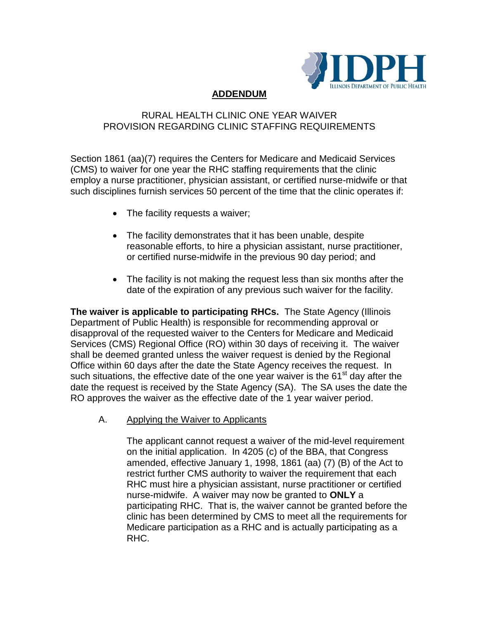

# **ADDENDUM**

## RURAL HEALTH CLINIC ONE YEAR WAIVER PROVISION REGARDING CLINIC STAFFING REQUIREMENTS

Section 1861 (aa)(7) requires the Centers for Medicare and Medicaid Services (CMS) to waiver for one year the RHC staffing requirements that the clinic employ a nurse practitioner, physician assistant, or certified nurse-midwife or that such disciplines furnish services 50 percent of the time that the clinic operates if:

- The facility requests a waiver;
- The facility demonstrates that it has been unable, despite reasonable efforts, to hire a physician assistant, nurse practitioner, or certified nurse-midwife in the previous 90 day period; and
- The facility is not making the request less than six months after the date of the expiration of any previous such waiver for the facility.

**The waiver is applicable to participating RHCs.** The State Agency (Illinois Department of Public Health) is responsible for recommending approval or disapproval of the requested waiver to the Centers for Medicare and Medicaid Services (CMS) Regional Office (RO) within 30 days of receiving it. The waiver shall be deemed granted unless the waiver request is denied by the Regional Office within 60 days after the date the State Agency receives the request. In such situations, the effective date of the one year waiver is the  $61<sup>st</sup>$  day after the date the request is received by the State Agency (SA). The SA uses the date the RO approves the waiver as the effective date of the 1 year waiver period.

A. Applying the Waiver to Applicants

The applicant cannot request a waiver of the mid-level requirement on the initial application. In 4205 (c) of the BBA, that Congress amended, effective January 1, 1998, 1861 (aa) (7) (B) of the Act to restrict further CMS authority to waiver the requirement that each RHC must hire a physician assistant, nurse practitioner or certified nurse-midwife. A waiver may now be granted to **ONLY** a participating RHC. That is, the waiver cannot be granted before the clinic has been determined by CMS to meet all the requirements for Medicare participation as a RHC and is actually participating as a RHC.